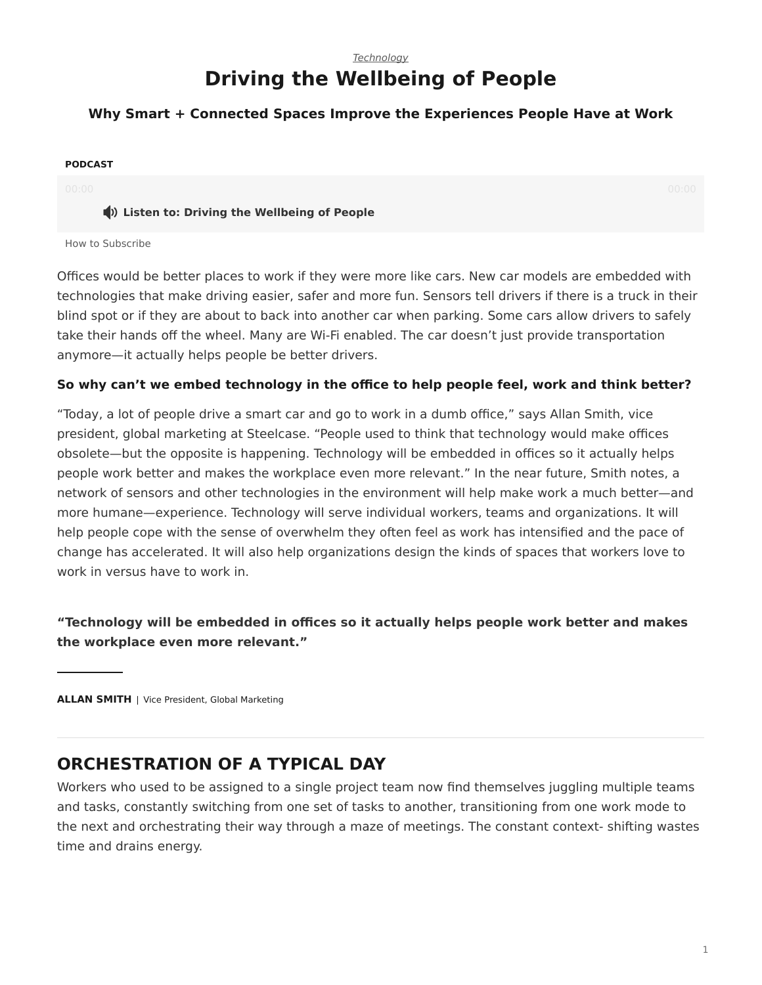## *[Technology](https://www.steelcase.com/research/topics/technology/)* **Driving the Wellbeing of People**

## <span id="page-0-0"></span>**Why Smart + Connected Spaces Improve the Experiences People Have at Work**

#### **PODCAST**

#### **Listen to: Driving the Wellbeing of People**

#### [How to Subscribe](https://www.steelcase.com/360-real-time-podcasts-subscribe/)

Offices would be better places to work if they were more like cars. New car models are embedded with technologies that make driving easier, safer and more fun. Sensors tell drivers if there is a truck in their blind spot or if they are about to back into another car when parking. Some cars allow drivers to safely take their hands off the wheel. Many are Wi-Fi enabled. The car doesn't just provide transportation anymore—it actually helps people be better drivers.

### **So why can't we embed technology in the office to help people feel, work and think better?**

"Today, a lot of people drive a smart car and go to work in a dumb office," says Allan Smith, vice president, global marketing at Steelcase. "People used to think that technology would make offices obsolete—but the opposite is happening. Technology will be embedded in offices so it actually helps people work better and makes the workplace even more relevant." In the near future, Smith notes, a network of sensors and other technologies in the environment will help make work a much better—and more humane—experience. Technology will serve individual workers, teams and organizations. It will help people cope with the sense of overwhelm they often feel as work has intensified and the pace of change has accelerated. It will also help organizations design the kinds of spaces that workers love to work in versus have to work in.

**"Technology will be embedded in offices so it actually helps people work better and makes the workplace even more relevant."**

**ALLAN SMITH** | Vice President, Global Marketing

## **ORCHESTRATION OF A TYPICAL DAY**

Workers who used to be assigned to a single project team now find themselves juggling multiple teams and tasks, constantly switching from one set of tasks to another, transitioning from one work mode to the next and orchestrating their way through a maze of meetings. The constant context- shifting wastes time and drains energy.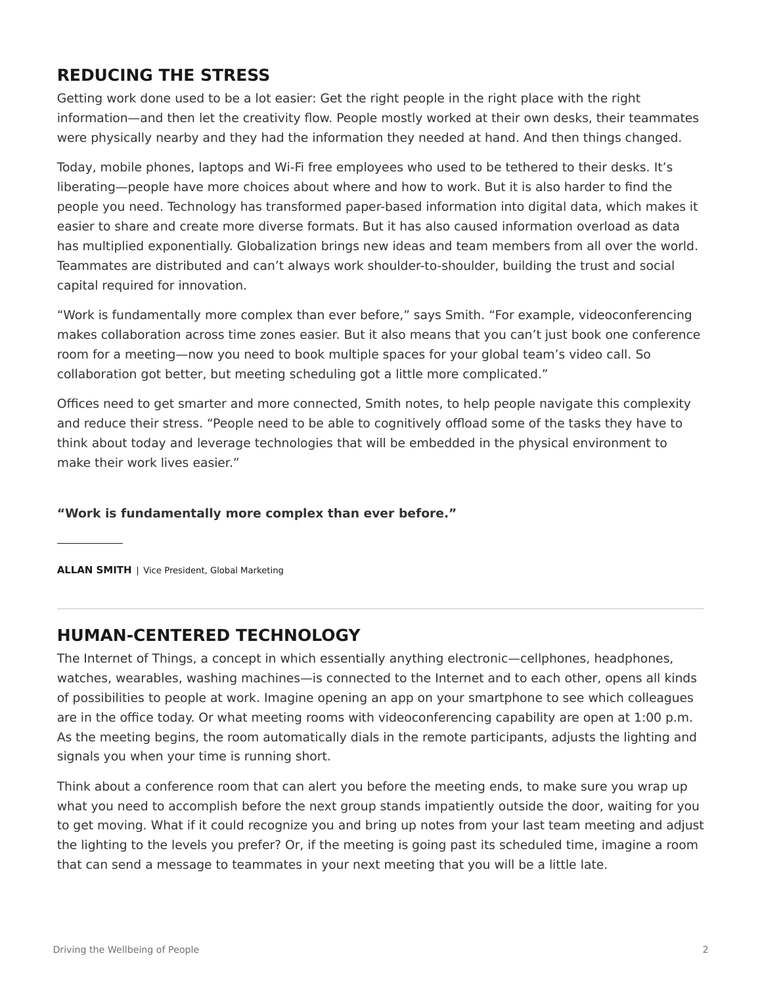# **REDUCING THE STRESS**

Getting work done used to be a lot easier: Get the right people in the right place with the right information—and then let the creativity flow. People mostly worked at their own desks, their teammates were physically nearby and they had the information they needed at hand. And then things changed.

Today, mobile phones, laptops and Wi-Fi free employees who used to be tethered to their desks. It's liberating—people have more choices about where and how to work. But it is also harder to find the people you need. Technology has transformed paper-based information into digital data, which makes it easier to share and create more diverse formats. But it has also caused information overload as data has multiplied exponentially. Globalization brings new ideas and team members from all over the world. Teammates are distributed and can't always work shoulder-to-shoulder, building the trust and social capital required for innovation.

"Work is fundamentally more complex than ever before," says Smith. "For example, videoconferencing makes collaboration across time zones easier. But it also means that you can't just book one conference room for a meeting—now you need to book multiple spaces for your global team's video call. So collaboration got better, but meeting scheduling got a little more complicated."

Offices need to get smarter and more connected, Smith notes, to help people navigate this complexity and reduce their stress. "People need to be able to cognitively offload some of the tasks they have to think about today and leverage technologies that will be embedded in the physical environment to make their work lives easier."

### **"Work is fundamentally more complex than ever before."**

**ALLAN SMITH** | Vice President, Global Marketing

# **HUMAN-CENTERED TECHNOLOGY**

The Internet of Things, a concept in which essentially anything electronic—cellphones, headphones, watches, wearables, washing machines—is connected to the Internet and to each other, opens all kinds of possibilities to people at work. Imagine opening an app on your smartphone to see which colleagues are in the office today. Or what meeting rooms with videoconferencing capability are open at 1:00 p.m. As the meeting begins, the room automatically dials in the remote participants, adjusts the lighting and signals you when your time is running short.

Think about a conference room that can alert you before the meeting ends, to make sure you wrap up what you need to accomplish before the next group stands impatiently outside the door, waiting for you to get moving. What if it could recognize you and bring up notes from your last team meeting and adjust the lighting to the levels you prefer? Or, if the meeting is going past its scheduled time, imagine a room that can send a message to teammates in your next meeting that you will be a little late.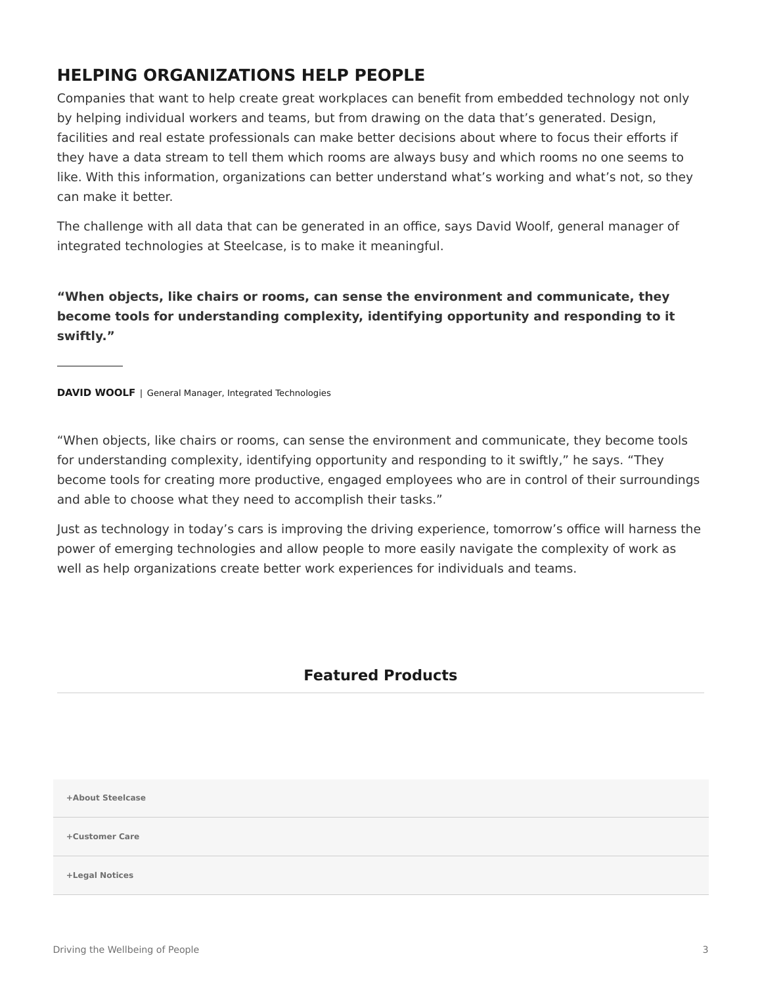# **HELPING ORGANIZATIONS HELP PEOPLE**

Companies that want to help create great workplaces can benefit from embedded technology not only by helping individual workers and teams, but from drawing on the data that's generated. Design, facilities and real estate professionals can make better decisions about where to focus their efforts if they have a data stream to tell them which rooms are always busy and which rooms no one seems to like. With this information, organizations can better understand what's working and what's not, so they can make it better.

The challenge with all data that can be generated in an office, says David Woolf, general manager of integrated technologies at Steelcase, is to make it meaningful.

**"When objects, like chairs or rooms, can sense the environment and communicate, they become tools for understanding complexity, identifying opportunity and responding to it swiftly."**

**DAVID WOOLF** | General Manager, Integrated Technologies

"When objects, like chairs or rooms, can sense the environment and communicate, they become tools for understanding complexity, identifying opportunity and responding to it swiftly," he says. "They become tools for creating more productive, engaged employees who are in control of their surroundings and able to choose what they need to accomplish their tasks."

Just as technology in today's cars is improving the driving experience, tomorrow's office will harness the power of emerging technologies and allow people to more easily navigate the complexity of work as well as help organizations create better work experiences for individuals and teams.

## **Featured Products**

**[+About Steelcase](https://www.steelcase.com/discover/steelcase/our-company/)**

**[+Customer Care](#page-0-0)**

**[+Legal Notices](#page-0-0)**